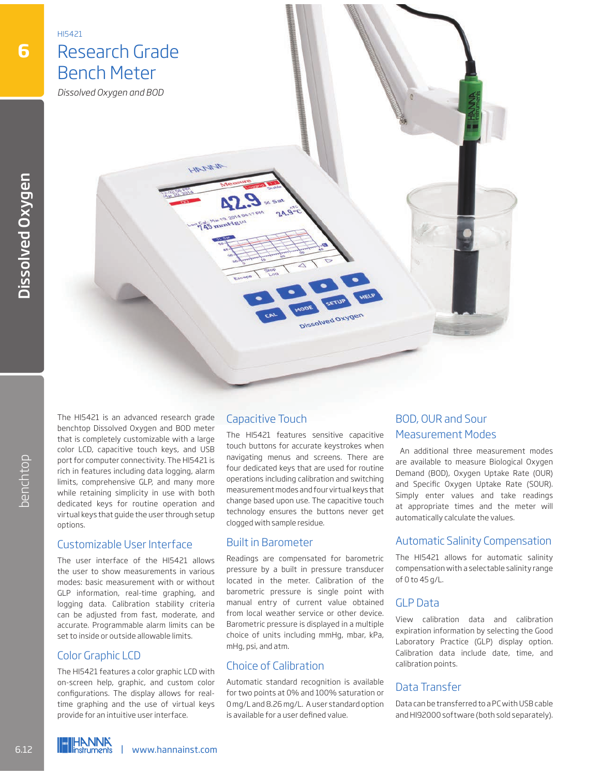

The HI5421 is an advanced research grade benchtop Dissolved Oxygen and BOD meter that is completely customizable with a large color LCD, capacitive touch keys, and USB port for computer connectivity. The HI5421 is rich in features including data logging, alarm limits, comprehensive GLP, and many more while retaining simplicity in use with both dedicated keys for routine operation and virtual keys that guide the user through setup options.

#### Customizable User Interface

The user interface of the HI5421 allows the user to show measurements in various modes: basic measurement with or without GLP information, real-time graphing, and logging data. Calibration stability criteria can be adjusted from fast, moderate, and accurate. Programmable alarm limits can be set to inside or outside allowable limits. From the computer connectivity. The HI5421 is<br>tich in features including data logging, alarm<br>limits, compenensive GLP, and many more<br>while retaining simplicity in use with both<br>dedicated keys for routine operation and<br>virt

### Color Graphic LCD

The HI5421 features a color graphic LCD with on-screen help, graphic, and custom color configurations. The display allows for realtime graphing and the use of virtual keys provide for an intuitive user interface.

### Capacitive Touch

The HI5421 features sensitive capacitive touch buttons for accurate keystrokes when navigating menus and screens. There are four dedicated keys that are used for routine operations including calibration and switching measurement modes and four virtual keys that change based upon use. The capacitive touch technology ensures the buttons never get clogged with sample residue.

#### Built in Barometer

Readings are compensated for barometric pressure by a built in pressure transducer located in the meter. Calibration of the barometric pressure is single point with manual entry of current value obtained from local weather service or other device. Barometric pressure is displayed in a multiple choice of units including mmHg, mbar, kPa, mHg, psi, and atm.

## Choice of Calibration

Automatic standard recognition is available for two points at 0% and 100% saturation or 0 mg/L and 8.26 mg/L. A user standard option is available for a user defined value.

# BOD, OUR and Sour Measurement Modes

 An additional three measurement modes are available to measure Biological Oxygen Demand (BOD), Oxygen Uptake Rate (OUR) and Specific Oxygen Uptake Rate (SOUR). Simply enter values and take readings at appropriate times and the meter will automatically calculate the values.

## Automatic Salinity Compensation

The HI5421 allows for automatic salinity compensation with a selectable salinity range of 0 to 45 g/L.

### GLP Data

View calibration data and calibration expiration information by selecting the Good Laboratory Practice (GLP) display option. Calibration data include date, time, and calibration points.

## Data Transfer

Data can be transferred to a PC with USB cable and HI92000 software (both sold separately).